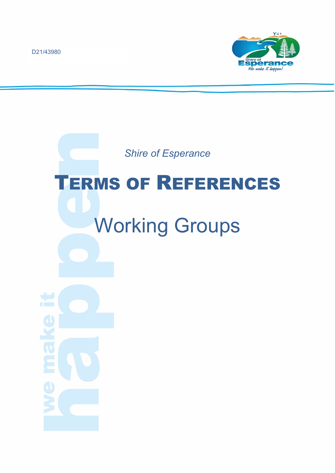D21/43980



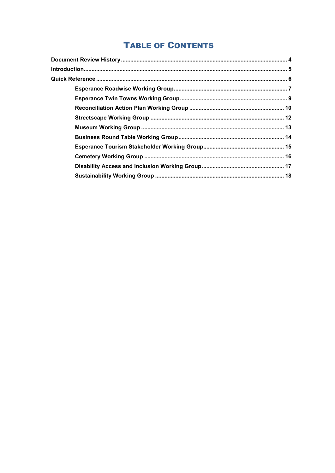# **TABLE OF CONTENTS**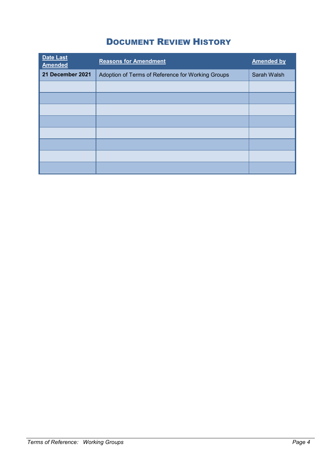# DOCUMENT REVIEW HISTORY

<span id="page-3-0"></span>

| <b>Date Last</b><br><b>Amended</b> | <b>Reasons for Amendment</b>                      | <b>Amended by</b> |
|------------------------------------|---------------------------------------------------|-------------------|
| 21 December 2021                   | Adoption of Terms of Reference for Working Groups | Sarah Walsh       |
|                                    |                                                   |                   |
|                                    |                                                   |                   |
|                                    |                                                   |                   |
|                                    |                                                   |                   |
|                                    |                                                   |                   |
|                                    |                                                   |                   |
|                                    |                                                   |                   |
|                                    |                                                   |                   |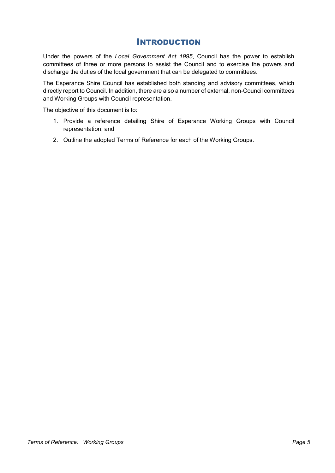# INTRODUCTION

<span id="page-4-0"></span>Under the powers of the *Local Government Act 1995*, Council has the power to establish committees of three or more persons to assist the Council and to exercise the powers and discharge the duties of the local government that can be delegated to committees.

The Esperance Shire Council has established both standing and advisory committees, which directly report to Council. In addition, there are also a number of external, non-Council committees and Working Groups with Council representation.

The objective of this document is to:

- 1. Provide a reference detailing Shire of Esperance Working Groups with Council representation; and
- 2. Outline the adopted Terms of Reference for each of the Working Groups.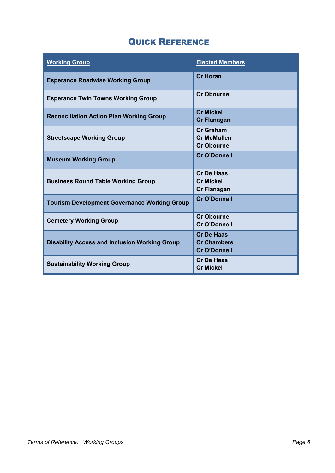# QUICK REFERENCE

<span id="page-5-0"></span>

| <b>Working Group</b>                                 | <b>Elected Members</b>                                         |
|------------------------------------------------------|----------------------------------------------------------------|
| <b>Esperance Roadwise Working Group</b>              | <b>Cr Horan</b>                                                |
| <b>Esperance Twin Towns Working Group</b>            | <b>Cr Obourne</b>                                              |
| <b>Reconciliation Action Plan Working Group</b>      | <b>Cr Mickel</b><br><b>Cr Flanagan</b>                         |
| <b>Streetscape Working Group</b>                     | <b>Cr Graham</b><br><b>Cr McMullen</b><br><b>Cr Obourne</b>    |
| <b>Museum Working Group</b>                          | <b>Cr O'Donnell</b>                                            |
| <b>Business Round Table Working Group</b>            | <b>Cr De Haas</b><br><b>Cr Mickel</b><br><b>Cr Flanagan</b>    |
| <b>Tourism Development Governance Working Group</b>  | <b>Cr O'Donnell</b>                                            |
| <b>Cemetery Working Group</b>                        | <b>Cr Obourne</b><br>Cr O'Donnell                              |
| <b>Disability Access and Inclusion Working Group</b> | <b>Cr De Haas</b><br><b>Cr Chambers</b><br><b>Cr O'Donnell</b> |
| <b>Sustainability Working Group</b>                  | <b>Cr De Haas</b><br><b>Cr Mickel</b>                          |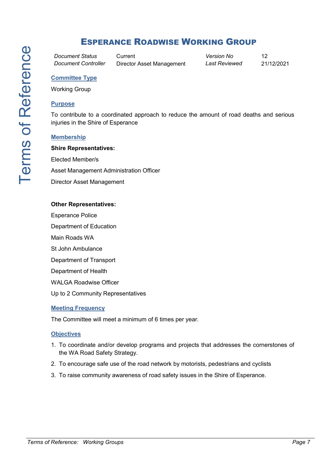# <span id="page-6-0"></span>ESPERANCE ROADWISE WORKING GROUP

*Document Status* Current *Version No* 12 *Document Controller* Director Asset Management *Last Reviewed* 21/12/2021

# **Committee Type**

Working Group

### **Purpose**

To contribute to a coordinated approach to reduce the amount of road deaths and serious injuries in the Shire of Esperance

#### **Membership**

**Shire Representatives:**

Elected Member/s

Asset Management Administration Officer

Director Asset Management

#### **Other Representatives:**

Esperance Police

Department of Education

Main Roads WA

St John Ambulance

Department of Transport

Department of Health

WALGA Roadwise Officer

Up to 2 Community Representatives

#### **Meeting Frequency**

The Committee will meet a minimum of 6 times per year.

#### **Objectives**

- 1. To coordinate and/or develop programs and projects that addresses the cornerstones of the WA Road Safety Strategy.
- 2. To encourage safe use of the road network by motorists, pedestrians and cyclists
- 3. To raise community awareness of road safety issues in the Shire of Esperance.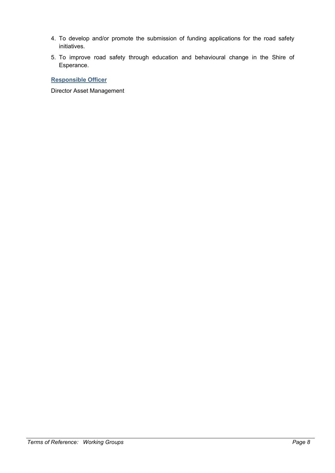- 4. To develop and/or promote the submission of funding applications for the road safety initiatives.
- 5. To improve road safety through education and behavioural change in the Shire of Esperance.

**Responsible Officer**

Director Asset Management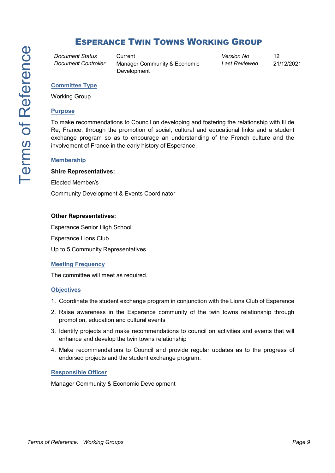# <span id="page-8-0"></span>ESPERANCE TWIN TOWNS WORKING GROUP

*Document Status* Current *Version No* 12

*Document Controller* Manager Community & Economic Development

*Last Reviewed* 21/12/2021

### **Committee Type**

Working Group

#### **Purpose**

To make recommendations to Council on developing and fostering the relationship with Ill de Re, France, through the promotion of social, cultural and educational links and a student exchange program so as to encourage an understanding of the French culture and the involvement of France in the early history of Esperance.

#### **Membership**

#### **Shire Representatives:**

Elected Member/s

Community Development & Events Coordinator

#### **Other Representatives:**

Esperance Senior High School Esperance Lions Club Up to 5 Community Representatives

# **Meeting Frequency**

The committee will meet as required.

#### **Objectives**

- 1. Coordinate the student exchange program in conjunction with the Lions Club of Esperance
- 2. Raise awareness in the Esperance community of the twin towns relationship through promotion, education and cultural events
- 3. Identify projects and make recommendations to council on activities and events that will enhance and develop the twin towns relationship
- 4. Make recommendations to Council and provide regular updates as to the progress of endorsed projects and the student exchange program.

## **Responsible Officer**

Manager Community & Economic Development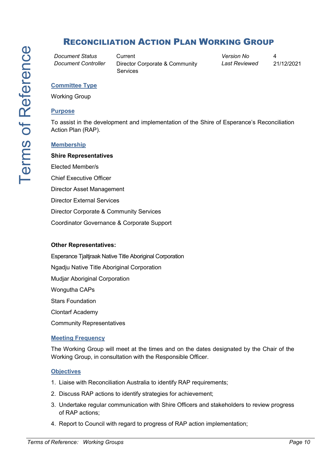# <span id="page-9-0"></span>RECONCILIATION ACTION PLAN WORKING GROUP

*Document Status* Current *Version No* 4

*Document Controller* Director Corporate & Community Services

*Last Reviewed* 21/12/2021

## **Committee Type**

Working Group

## **Purpose**

To assist in the development and implementation of the Shire of Esperance's Reconciliation Action Plan (RAP).

# **Membership**

**Shire Representatives** Elected Member/s Chief Executive Officer Director Asset Management Director External Services Director Corporate & Community Services Coordinator Governance & Corporate Support

## **Other Representatives:**

Esperance Tjaltjraak Native Title Aboriginal Corporation Ngadju Native Title Aboriginal Corporation Mudjar Aboriginal Corporation Wongutha CAPs Stars Foundation Clontarf Academy Community Representatives

# **Meeting Frequency**

The Working Group will meet at the times and on the dates designated by the Chair of the Working Group, in consultation with the Responsible Officer.

# **Objectives**

- 1. Liaise with Reconciliation Australia to identify RAP requirements;
- 2. Discuss RAP actions to identify strategies for achievement;
- 3. Undertake regular communication with Shire Officers and stakeholders to review progress of RAP actions;
- 4. Report to Council with regard to progress of RAP action implementation;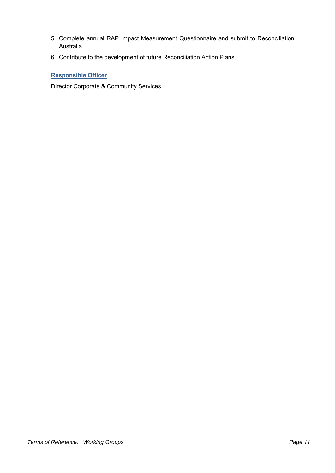- 5. Complete annual RAP Impact Measurement Questionnaire and submit to Reconciliation Australia
- 6. Contribute to the development of future Reconciliation Action Plans

# **Responsible Officer**

Director Corporate & Community Services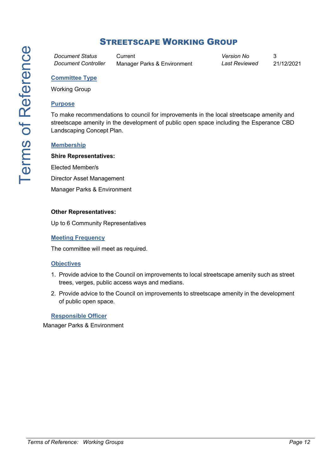<span id="page-11-0"></span>*Document Status* Current *Version No* 3

*Document Controller* Manager Parks & Environment *Last Reviewed* 21/12/2021

# **Committee Type**

Working Group

# **Purpose**

To make recommendations to council for improvements in the local streetscape amenity and streetscape amenity in the development of public open space including the Esperance CBD Landscaping Concept Plan.

# **Membership**

## **Shire Representatives:**

Elected Member/s

Director Asset Management

Manager Parks & Environment

## **Other Representatives:**

Up to 6 Community Representatives

#### **Meeting Frequency**

The committee will meet as required.

## **Objectives**

- 1. Provide advice to the Council on improvements to local streetscape amenity such as street trees, verges, public access ways and medians.
- 2. Provide advice to the Council on improvements to streetscape amenity in the development of public open space.

### **Responsible Officer**

Manager Parks & Environment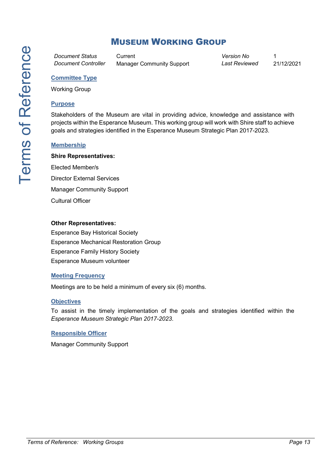# <span id="page-12-0"></span>MUSEUM WORKING GROUP

*Document Status* Current *Version No* 1

*Document Controller* Manager Community Support *Last Reviewed* 21/12/2021

# **Committee Type**

Working Group

## **Purpose**

Stakeholders of the Museum are vital in providing advice, knowledge and assistance with projects within the Esperance Museum. This working group will work with Shire staff to achieve goals and strategies identified in the Esperance Museum Strategic Plan 2017-2023.

## **Membership**

### **Shire Representatives:**

Elected Member/s Director External Services Manager Community Support Cultural Officer

#### **Other Representatives:**

Esperance Bay Historical Society Esperance Mechanical Restoration Group Esperance Family History Society Esperance Museum volunteer

#### **Meeting Frequency**

Meetings are to be held a minimum of every six (6) months.

#### **Objectives**

To assist in the timely implementation of the goals and strategies identified within the *Esperance Museum Strategic Plan 2017-2023*.

#### **Responsible Officer**

Manager Community Support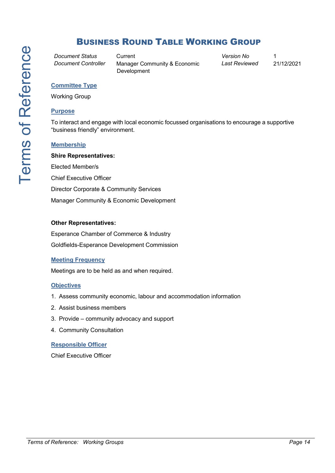# <span id="page-13-0"></span>BUSINESS ROUND TABLE WORKING GROUP

*Document Status* Current *Version No* 1

*Document Controller* Manager Community & Economic Development

*Last Reviewed* 21/12/2021

#### **Committee Type**

Working Group

#### **Purpose**

To interact and engage with local economic focussed organisations to encourage a supportive "business friendly" environment.

#### **Membership**

**Shire Representatives:** Elected Member/s Chief Executive Officer Director Corporate & Community Services Manager Community & Economic Development

#### **Other Representatives:**

Esperance Chamber of Commerce & Industry Goldfields-Esperance Development Commission

## **Meeting Frequency**

Meetings are to be held as and when required.

## **Objectives**

- 1. Assess community economic, labour and accommodation information
- 2. Assist business members
- 3. Provide community advocacy and support
- 4. Community Consultation

## **Responsible Officer**

Chief Executive Officer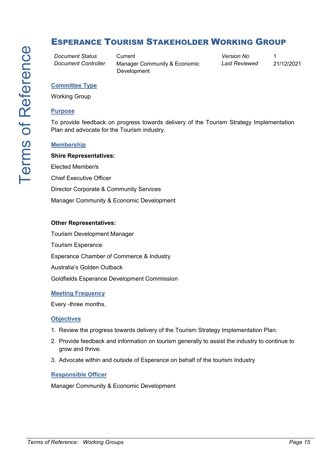# <span id="page-14-0"></span>ESPERANCE TOURISM STAKEHOLDER WORKING GROUP

*Document Status* Current *Version No* 1

*Document Controller* Manager Community & Economic Development

*Last Reviewed* 21/12/2021

#### **Committee Type**

Working Group

#### **Purpose**

To provide feedback on progress towards delivery of the Tourism Strategy Implementation Plan and advocate for the Tourism industry.

#### **Membership**

**Shire Representatives:** Elected Member/s Chief Executive Officer Director Corporate & Community Services Manager Community & Economic Development

#### **Other Representatives:**

Tourism Development Manager Tourism Esperance Esperance Chamber of Commerce & Industry Australia's Golden Outback Goldfields Esperance Development Commission

#### **Meeting Frequency**

Every -three months.

#### **Objectives**

- 1. Review the progress towards delivery of the Tourism Strategy Implementation Plan.
- 2. Provide feedback and information on tourism generally to assist the industry to continue to grow and thrive.
- 3. Advocate within and outside of Esperance on behalf of the tourism Industry

#### **Responsible Officer**

Manager Community & Economic Development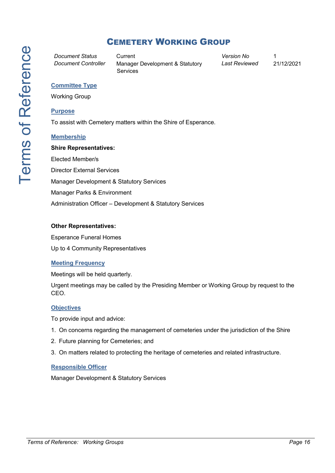<span id="page-15-0"></span>

*Document Status* Current *Version No* 1 *Document Controller* Manager Development & Statutory Services

*Last Reviewed* 21/12/2021

## **Committee Type**

Working Group

#### **Purpose**

To assist with Cemetery matters within the Shire of Esperance.

#### **Membership**

**Shire Representatives:** Elected Member/s Director External Services Manager Development & Statutory Services Manager Parks & Environment Administration Officer – Development & Statutory Services

#### **Other Representatives:**

Esperance Funeral Homes

Up to 4 Community Representatives

## **Meeting Frequency**

Meetings will be held quarterly.

Urgent meetings may be called by the Presiding Member or Working Group by request to the CEO.

## **Objectives**

To provide input and advice:

- 1. On concerns regarding the management of cemeteries under the jurisdiction of the Shire
- 2. Future planning for Cemeteries; and
- 3. On matters related to protecting the heritage of cemeteries and related infrastructure.

## **Responsible Officer**

Manager Development & Statutory Services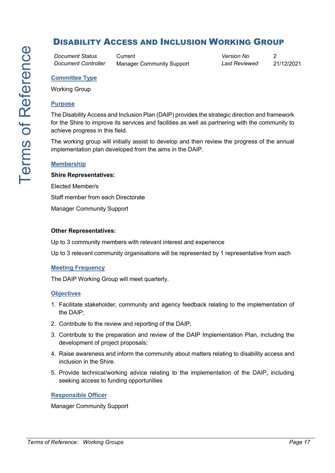# <span id="page-16-0"></span>DISABILITY ACCESS AND INCLUSION WORKING GROUP

*Document Status* Current *Version No* 2

*Document Controller* Manager Community Support *Last Reviewed* 21/12/2021

# **Committee Type**

Working Group

#### **Purpose**

The Disability Access and Inclusion Plan (DAIP) provides the strategic direction and framework for the Shire to improve its services and facilities as well as partnering with the community to achieve progress in this field.

The working group will initially assist to develop and then review the progress of the annual implementation plan developed from the aims in the DAIP.

#### **Membership**

#### **Shire Representatives:**

Elected Member/s

Staff member from each Directorate

Manager Community Support

#### **Other Representatives:**

Up to 3 community members with relevant interest and experience

Up to 3 relevant community organisations will be represented by 1 representative from each

#### **Meeting Frequency**

The DAIP Working Group will meet quarterly.

#### **Objectives**

- 1. Facilitate stakeholder, community and agency feedback relating to the implementation of the DAIP;
- 2. Contribute to the review and reporting of the DAIP;
- 3. Contribute to the preparation and review of the DAIP Implementation Plan, including the development of project proposals;
- 4. Raise awareness and inform the community about matters relating to disability access and inclusion in the Shire.
- 5. Provide technical/working advice relating to the implementation of the DAIP, including seeking access to funding opportunities

#### **Responsible Officer**

Manager Community Support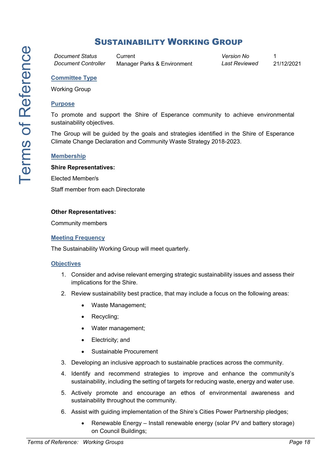# <span id="page-17-0"></span>SUSTAINABILITY WORKING GROUP

*Document Status* Current *Version No* 1

*Document Controller* Manager Parks & Environment *Last Reviewed* 21/12/2021

# **Committee Type**

Working Group

### **Purpose**

To promote and support the Shire of Esperance community to achieve environmental sustainability objectives.

The Group will be guided by the goals and strategies identified in the Shire of Esperance Climate Change Declaration and Community Waste Strategy 2018-2023.

#### **Membership**

#### **Shire Representatives:**

Elected Member/s

Staff member from each Directorate

#### **Other Representatives:**

Community members

#### **Meeting Frequency**

The Sustainability Working Group will meet quarterly.

#### **Objectives**

- 1. Consider and advise relevant emerging strategic sustainability issues and assess their implications for the Shire.
- 2. Review sustainability best practice, that may include a focus on the following areas:
	- Waste Management;
	- Recycling;
	- Water management;
	- Electricity; and
	- Sustainable Procurement
- 3. Developing an inclusive approach to sustainable practices across the community.
- 4. Identify and recommend strategies to improve and enhance the community's sustainability, including the setting of targets for reducing waste, energy and water use.
- 5. Actively promote and encourage an ethos of environmental awareness and sustainability throughout the community.
- 6. Assist with guiding implementation of the Shire's Cities Power Partnership pledges;
	- Renewable Energy Install renewable energy (solar PV and battery storage) on Council Buildings;